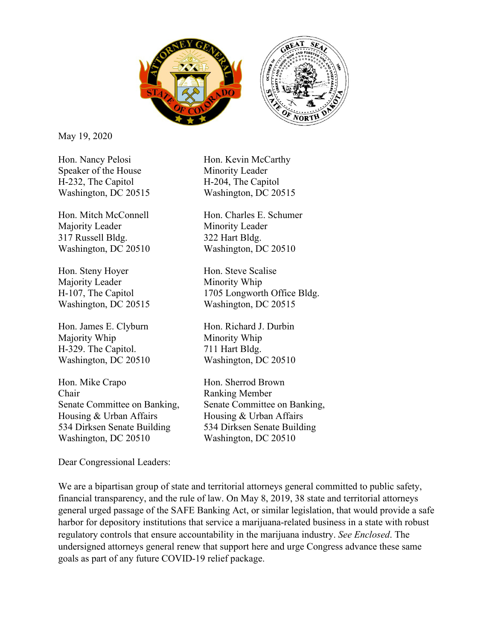

May 19, 2020

Hon. Nancy Pelosi Hon. Kevin McCarthy Speaker of the House Minority Leader H-232, The Capitol H-204, The Capitol

Majority Leader Minority Leader 317 Russell Bldg. 322 Hart Bldg. Washington, DC 20510 Washington, DC 20510

Hon. Steny Hoyer Hon. Steve Scalise Majority Leader Minority Whip

Hon. James E. Clyburn Hon. Richard J. Durbin Majority Whip Minority Whip H-329. The Capitol. 711 Hart Bldg. Washington, DC 20510 Washington, DC 20510

Hon. Mike Crapo Hon. Sherrod Brown Chair Ranking Member Housing & Urban Affairs Housing & Urban Affairs 534 Dirksen Senate Building 534 Dirksen Senate Building Washington, DC 20510 Washington, DC 20510

Dear Congressional Leaders:

Washington, DC 20515 Washington, DC 20515

Hon. Mitch McConnell Hon. Charles E. Schumer

H-107, The Capitol 1705 Longworth Office Bldg. Washington, DC 20515 Washington, DC 20515

Senate Committee on Banking, Senate Committee on Banking,

We are a bipartisan group of state and territorial attorneys general committed to public safety, financial transparency, and the rule of law. On May 8, 2019, 38 state and territorial attorneys general urged passage of the SAFE Banking Act, or similar legislation, that would provide a safe harbor for depository institutions that service a marijuana-related business in a state with robust regulatory controls that ensure accountability in the marijuana industry. *See Enclosed*. The undersigned attorneys general renew that support here and urge Congress advance these same goals as part of any future COVID-19 relief package.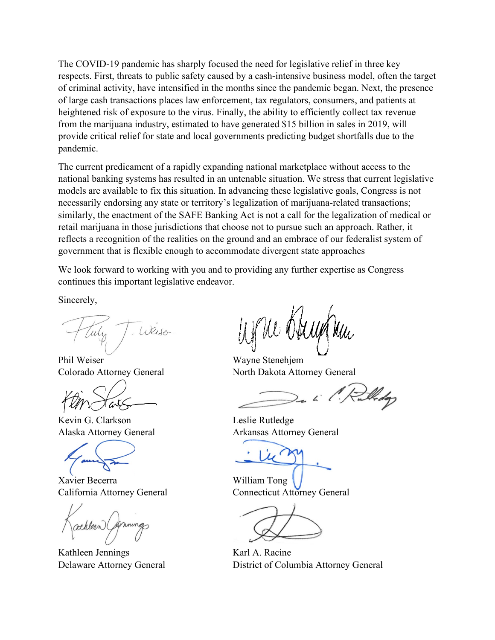The COVID-19 pandemic has sharply focused the need for legislative relief in three key respects. First, threats to public safety caused by a cash-intensive business model, often the target of criminal activity, have intensified in the months since the pandemic began. Next, the presence of large cash transactions places law enforcement, tax regulators, consumers, and patients at heightened risk of exposure to the virus. Finally, the ability to efficiently collect tax revenue from the marijuana industry, estimated to have generated \$15 billion in sales in 2019, will provide critical relief for state and local governments predicting budget shortfalls due to the pandemic.

The current predicament of a rapidly expanding national marketplace without access to the national banking systems has resulted in an untenable situation. We stress that current legislative models are available to fix this situation. In advancing these legislative goals, Congress is not necessarily endorsing any state or territory's legalization of marijuana-related transactions; similarly, the enactment of the SAFE Banking Act is not a call for the legalization of medical or retail marijuana in those jurisdictions that choose not to pursue such an approach. Rather, it reflects a recognition of the realities on the ground and an embrace of our federalist system of government that is flexible enough to accommodate divergent state approaches

We look forward to working with you and to providing any further expertise as Congress continues this important legislative endeavor.

Sincerely,

Weiser

Phil Weiser Wayne Stenehjem

Kevin G. Clarkson Leslie Rutledge

Xavier Becerra William Tong

Kathleen Jennings Karl A. Racine

Ni Ok

Colorado Attorney General North Dakota Attorney General

Alaska Attorney General **Arkansas Attorney General** 

California Attorney General Connecticut Attorney General

Delaware Attorney General District of Columbia Attorney General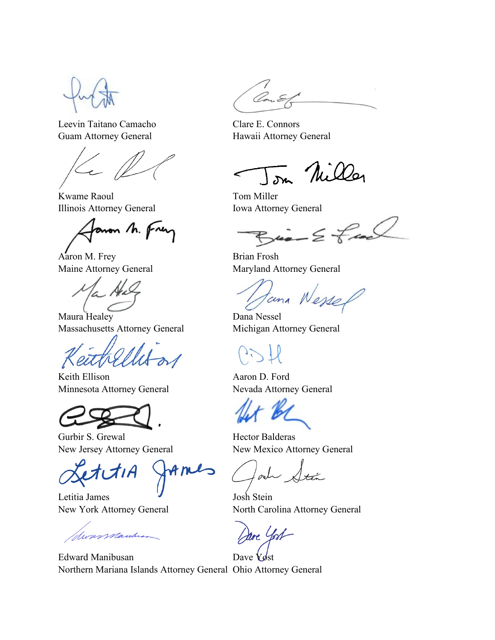Leevin Taitano Camacho Clare E. Connors Guam Attorney General **Hawaii Attorney General** 

Kwame Raoul Tom Miller Illinois Attorney General Iowa Attorney General

anon h. frey

Aaron M. Frey Brian Frosh

Maura Healey **Dana Nessel** Massachusetts Attorney General Michigan Attorney General

Keith Ellison Aaron D. Ford Minnesota Attorney General Nevada Attorney General

Gurbir S. Grewal **Hector Balderas** 

Letitia James Josh Stein

Wassmanley

Edward Manibusan Dave Yost Northern Mariana Islands Attorney General Ohio Attorney General

In Nilla

 $\omega - \epsilon + \omega$ 

Maine Attorney General Maryland Attorney General

tana Wesser

New Jersey Attorney General New Mexico Attorney General

New York Attorney General North Carolina Attorney General

dare Yost